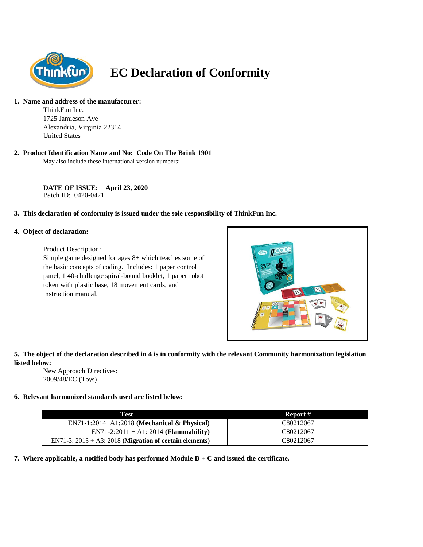

# **EC Declaration of Conformity**

#### **1. Name and address of the manufacturer:**

ThinkFun Inc. 1725 Jamieson Ave Alexandria, Virginia 22314 United States

# **2. Product Identification Name and No: Code On The Brink 1901**

May also include these international version numbers:

**DATE OF ISSUE: April 23, 2020** Batch ID: 0420-0421

#### **3. This declaration of conformity is issued under the sole responsibility of ThinkFun Inc.**

#### **4. Object of declaration:**

Product Description:

Simple game designed for ages 8+ which teaches some of the basic concepts of coding. Includes: 1 paper control panel, 1 40-challenge spiral-bound booklet, 1 paper robot token with plastic base, 18 movement cards, and instruction manual.



# **5. The object of the declaration described in 4 is in conformity with the relevant Community harmonization legislation listed below:**

New Approach Directives: 2009/48/EC (Toys)

# **6. Relevant harmonized standards used are listed below:**

| Test                                                       | Report #  |
|------------------------------------------------------------|-----------|
| $EN71-1:2014+A1:2018$ (Mechanical & Physical)              | C80212067 |
| $EN71-2:2011 + A1:2014 (Flammablity)$                      | C80212067 |
| EN71-3: $2013 + A3$ : 2018 (Migration of certain elements) | C80212067 |

**7. Where applicable, a notified body has performed Module B + C and issued the certificate.**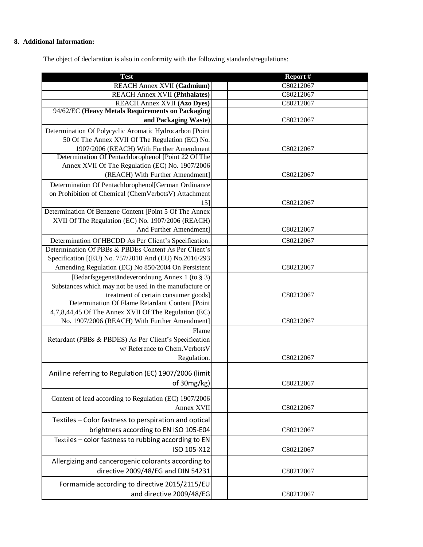# **8. Additional Information:**

The object of declaration is also in conformity with the following standards/regulations:

| <b>Test</b>                                                                                     | Report #  |
|-------------------------------------------------------------------------------------------------|-----------|
| REACH Annex XVII (Cadmium)                                                                      | C80212067 |
| <b>REACH Annex XVII (Phthalates)</b>                                                            | C80212067 |
| <b>REACH Annex XVII (Azo Dyes)</b>                                                              | C80212067 |
| 94/62/EC (Heavy Metals Requirements on Packaging                                                |           |
| and Packaging Waste)                                                                            | C80212067 |
| Determination Of Polycyclic Aromatic Hydrocarbon [Point                                         |           |
| 50 Of The Annex XVII Of The Regulation (EC) No.                                                 |           |
| 1907/2006 (REACH) With Further Amendment<br>Determination Of Pentachlorophenol [Point 22 Of The | C80212067 |
| Annex XVII Of The Regulation (EC) No. 1907/2006                                                 |           |
| (REACH) With Further Amendment]                                                                 | C80212067 |
| Determination Of Pentachlorophenol[German Ordinance                                             |           |
| on Prohibition of Chemical (ChemVerbotsV) Attachment                                            |           |
| 15]                                                                                             | C80212067 |
| Determination Of Benzene Content [Point 5 Of The Annex                                          |           |
| XVII Of The Regulation (EC) No. 1907/2006 (REACH)                                               |           |
| And Further Amendment]                                                                          | C80212067 |
| Determination Of HBCDD As Per Client's Specification.                                           | C80212067 |
| Determination Of PBBs & PBDEs Content As Per Client's                                           |           |
| Specification [(EU) No. 757/2010 And (EU) No.2016/293                                           |           |
| Amending Regulation (EC) No 850/2004 On Persistent                                              | C80212067 |
| [Bedarfsgegenständeverordnung Annex 1 (to § 3)]                                                 |           |
| Substances which may not be used in the manufacture or                                          |           |
| treatment of certain consumer goods]                                                            | C80212067 |
| Determination Of Flame Retardant Content [Point                                                 |           |
| 4,7,8,44,45 Of The Annex XVII Of The Regulation (EC)                                            |           |
| No. 1907/2006 (REACH) With Further Amendment]                                                   | C80212067 |
| Flame                                                                                           |           |
| Retardant (PBBs & PBDES) As Per Client's Specification                                          |           |
| w/ Reference to Chem. Verbots V                                                                 |           |
| Regulation.                                                                                     | C80212067 |
| Aniline referring to Regulation (EC) 1907/2006 (limit)                                          |           |
|                                                                                                 |           |
| of 30mg/kg)                                                                                     | C80212067 |
| Content of lead according to Regulation (EC) 1907/2006                                          |           |
| Annex XVII                                                                                      | C80212067 |
| Textiles - Color fastness to perspiration and optical                                           |           |
| brightners according to EN ISO 105-E04                                                          | C80212067 |
| Textiles - color fastness to rubbing according to EN                                            |           |
| ISO 105-X12                                                                                     |           |
|                                                                                                 | C80212067 |
| Allergizing and cancerogenic colorants according to                                             |           |
| directive 2009/48/EG and DIN 54231                                                              | C80212067 |
| Formamide according to directive 2015/2115/EU                                                   |           |
| and directive 2009/48/EG                                                                        | C80212067 |